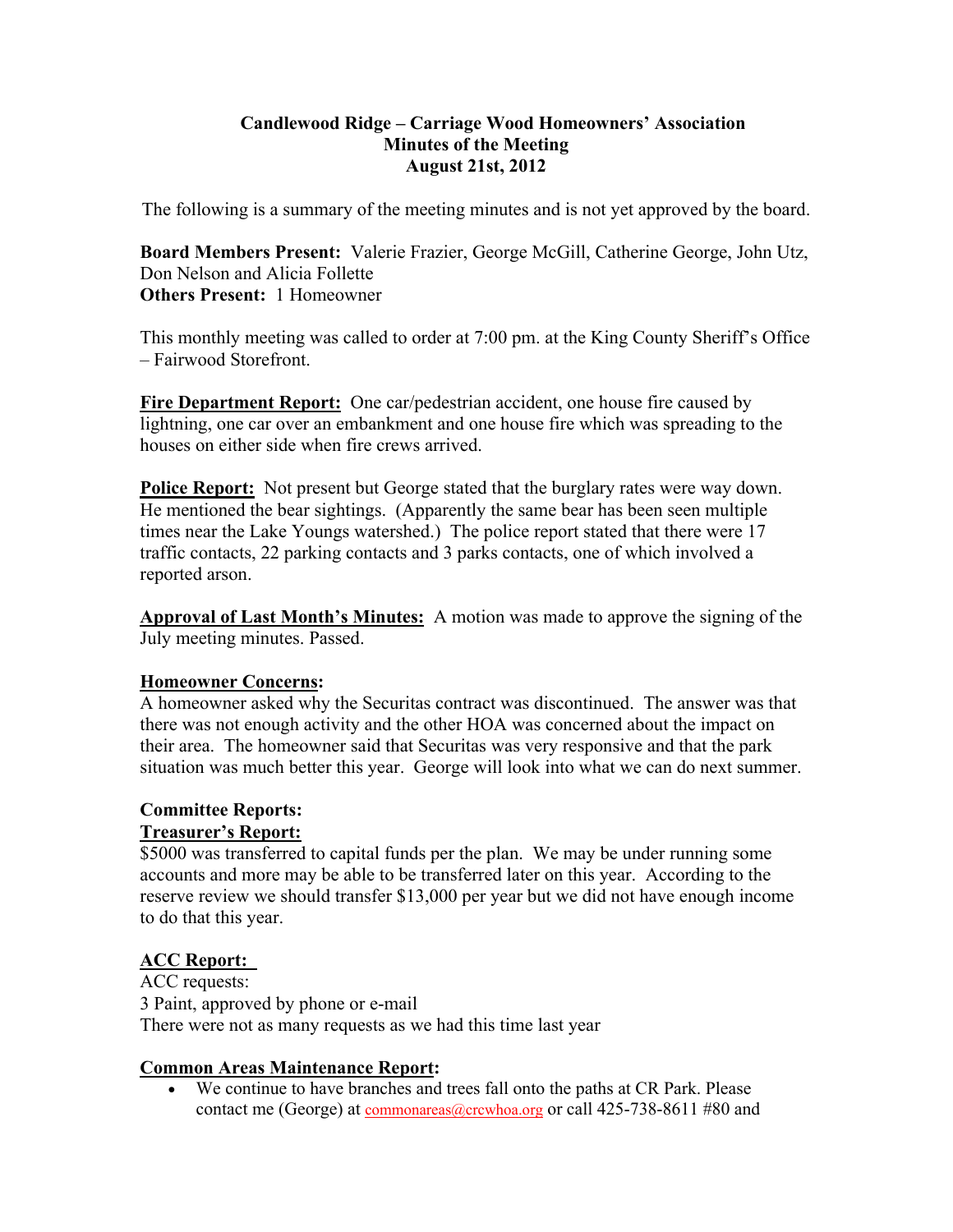## **Candlewood Ridge – Carriage Wood Homeowners' Association Minutes of the Meeting August 21st, 2012**

The following is a summary of the meeting minutes and is not yet approved by the board.

**Board Members Present:** Valerie Frazier, George McGill, Catherine George, John Utz, Don Nelson and Alicia Follette **Others Present:** 1 Homeowner

This monthly meeting was called to order at 7:00 pm. at the King County Sheriff's Office – Fairwood Storefront.

**Fire Department Report:** One car/pedestrian accident, one house fire caused by lightning, one car over an embankment and one house fire which was spreading to the houses on either side when fire crews arrived.

**Police Report:** Not present but George stated that the burglary rates were way down. He mentioned the bear sightings. (Apparently the same bear has been seen multiple times near the Lake Youngs watershed.) The police report stated that there were 17 traffic contacts, 22 parking contacts and 3 parks contacts, one of which involved a reported arson.

**Approval of Last Month's Minutes:** A motion was made to approve the signing of the July meeting minutes. Passed.

# **Homeowner Concerns:**

A homeowner asked why the Securitas contract was discontinued. The answer was that there was not enough activity and the other HOA was concerned about the impact on their area. The homeowner said that Securitas was very responsive and that the park situation was much better this year. George will look into what we can do next summer.

## **Committee Reports: Treasurer's Report:**

\$5000 was transferred to capital funds per the plan. We may be under running some accounts and more may be able to be transferred later on this year. According to the reserve review we should transfer \$13,000 per year but we did not have enough income to do that this year.

# **ACC Report:**

ACC requests: 3 Paint, approved by phone or e-mail There were not as many requests as we had this time last year

# **Common Areas Maintenance Report:**

 We continue to have branches and trees fall onto the paths at CR Park. Please contact me (George) at commonareas@crcwhoa.org or call 425-738-8611 #80 and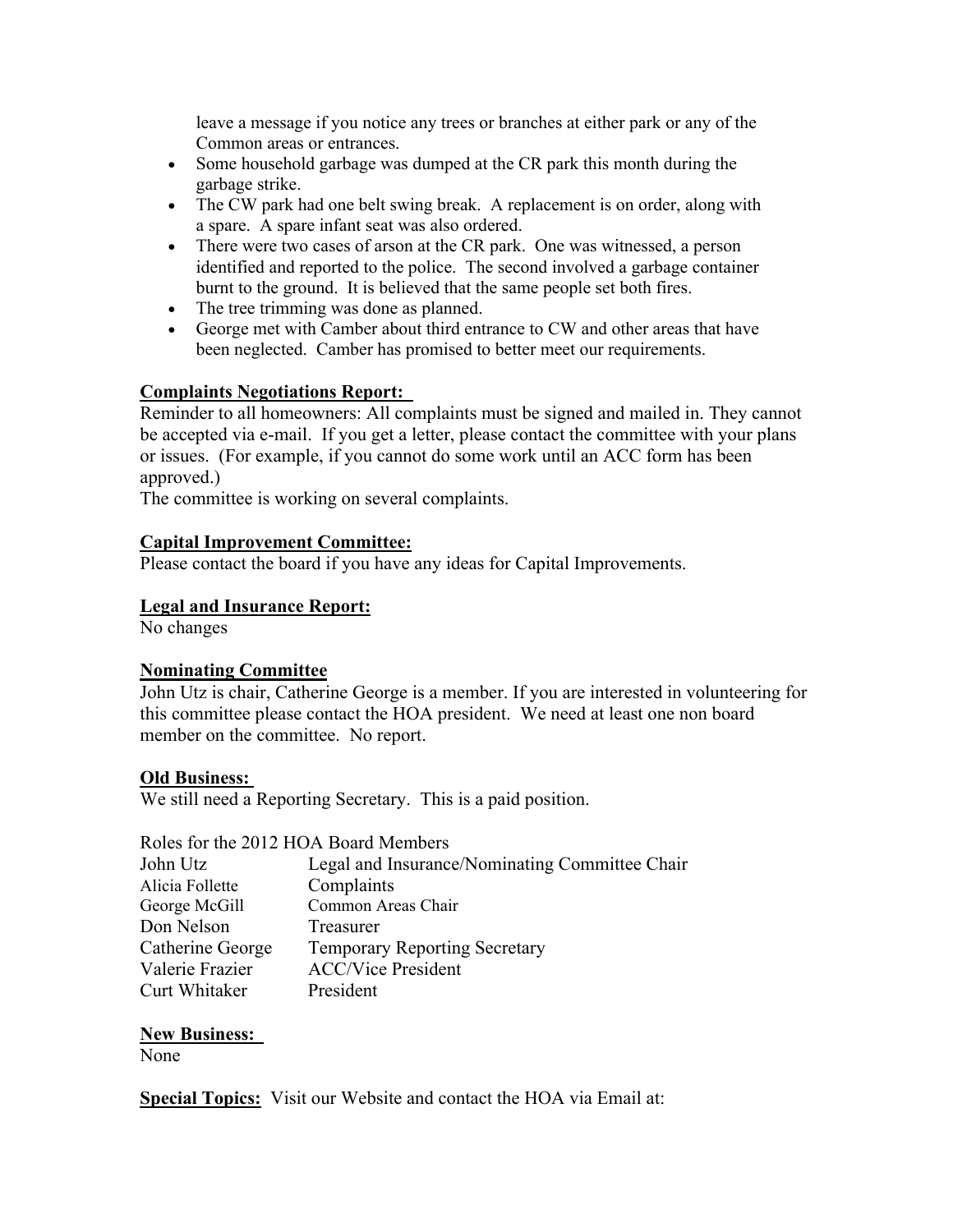leave a message if you notice any trees or branches at either park or any of the Common areas or entrances.

- Some household garbage was dumped at the CR park this month during the garbage strike.
- The CW park had one belt swing break. A replacement is on order, along with a spare. A spare infant seat was also ordered.
- There were two cases of arson at the CR park. One was witnessed, a person identified and reported to the police. The second involved a garbage container burnt to the ground. It is believed that the same people set both fires.
- The tree trimming was done as planned.
- George met with Camber about third entrance to CW and other areas that have been neglected. Camber has promised to better meet our requirements.

## **Complaints Negotiations Report:**

Reminder to all homeowners: All complaints must be signed and mailed in. They cannot be accepted via e-mail. If you get a letter, please contact the committee with your plans or issues. (For example, if you cannot do some work until an ACC form has been approved.)

The committee is working on several complaints.

## **Capital Improvement Committee:**

Please contact the board if you have any ideas for Capital Improvements.

#### **Legal and Insurance Report:**

No changes

#### **Nominating Committee**

John Utz is chair, Catherine George is a member. If you are interested in volunteering for this committee please contact the HOA president. We need at least one non board member on the committee. No report.

#### **Old Business:**

We still need a Reporting Secretary. This is a paid position.

Roles for the 2012 HOA Board Members

| John Utz         | Legal and Insurance/Nominating Committee Chair |
|------------------|------------------------------------------------|
| Alicia Follette  | Complaints                                     |
| George McGill    | Common Areas Chair                             |
| Don Nelson       | Treasurer                                      |
| Catherine George | <b>Temporary Reporting Secretary</b>           |
| Valerie Frazier  | <b>ACC/Vice President</b>                      |
| Curt Whitaker    | President                                      |

# **New Business:**

None

**Special Topics:** Visit our Website and contact the HOA via Email at: